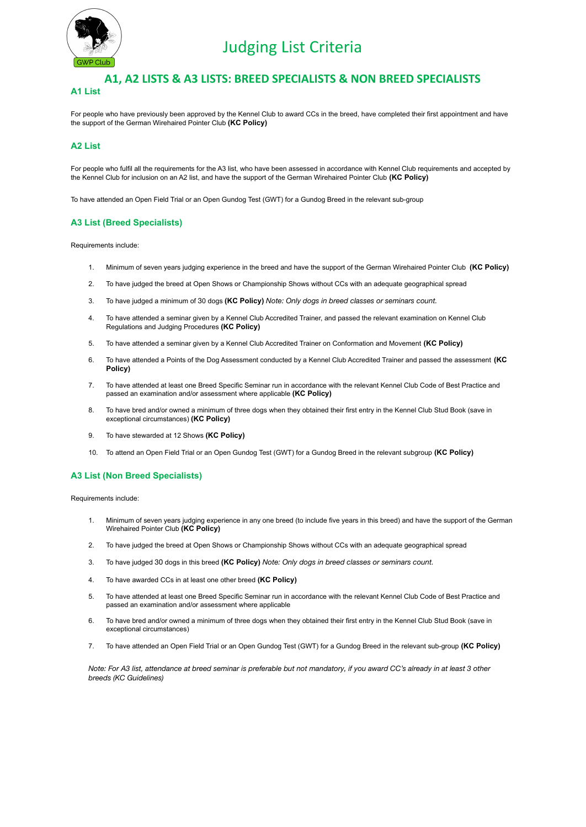

# Judging List Criteria

## **A1, A2 LISTS & A3 LISTS: BREED SPECIALISTS & NON BREED SPECIALISTS A1 List**

For people who have previously been approved by the Kennel Club to award CCs in the breed, have completed their first appointment and have the support of the German Wirehaired Pointer Club **(KC Policy)**

#### **A2 List**

For people who fulfil all the requirements for the A3 list, who have been assessed in accordance with Kennel Club requirements and accepted by the Kennel Club for inclusion on an A2 list, and have the support of the German Wirehaired Pointer Club **(KC Policy)**

To have attended an Open Field Trial or an Open Gundog Test (GWT) for a Gundog Breed in the relevant sub-group

#### **A3 List (Breed Specialists)**

Requirements include:

- 1. Minimum of seven years judging experience in the breed and have the support of the German Wirehaired Pointer Club **(KC Policy)**
- 2. To have judged the breed at Open Shows or Championship Shows without CCs with an adequate geographical spread
- 3. To have judged a minimum of 30 dogs **(KC Policy)** *Note: Only dogs in breed classes or seminars count.*
- 4. To have attended a seminar given by a Kennel Club Accredited Trainer, and passed the relevant examination on Kennel Club Regulations and Judging Procedures **(KC Policy)**
- 5. To have attended a seminar given by a Kennel Club Accredited Trainer on Conformation and Movement **(KC Policy)**
- 6. To have attended a Points of the Dog Assessment conducted by a Kennel Club Accredited Trainer and passed the assessment **(KC Policy)**
- 7. To have attended at least one Breed Specific Seminar run in accordance with the relevant Kennel Club Code of Best Practice and passed an examination and/or assessment where applicable **(KC Policy)**
- 8. To have bred and/or owned a minimum of three dogs when they obtained their first entry in the Kennel Club Stud Book (save in exceptional circumstances) **(KC Policy)**
- 9. To have stewarded at 12 Shows **(KC Policy)**
- 10. To attend an Open Field Trial or an Open Gundog Test (GWT) for a Gundog Breed in the relevant subgroup **(KC Policy)**

#### **A3 List (Non Breed Specialists)**

Requirements include:

- 1. Minimum of seven years judging experience in any one breed (to include five years in this breed) and have the support of the German Wirehaired Pointer Club **(KC Policy)**
- 2. To have judged the breed at Open Shows or Championship Shows without CCs with an adequate geographical spread
- 3. To have judged 30 dogs in this breed **(KC Policy)** *Note: Only dogs in breed classes or seminars count.*
- 4. To have awarded CCs in at least one other breed **(KC Policy)**
- 5. To have attended at least one Breed Specific Seminar run in accordance with the relevant Kennel Club Code of Best Practice and passed an examination and/or assessment where applicable
- 6. To have bred and/or owned a minimum of three dogs when they obtained their first entry in the Kennel Club Stud Book (save in exceptional circumstances)
- 7. To have attended an Open Field Trial or an Open Gundog Test (GWT) for a Gundog Breed in the relevant sub-group **(KC Policy)**

*Note: For A3 list, attendance at breed seminar is preferable but not mandatory, if you award CC's already in at least 3 other breeds (KC Guidelines)*